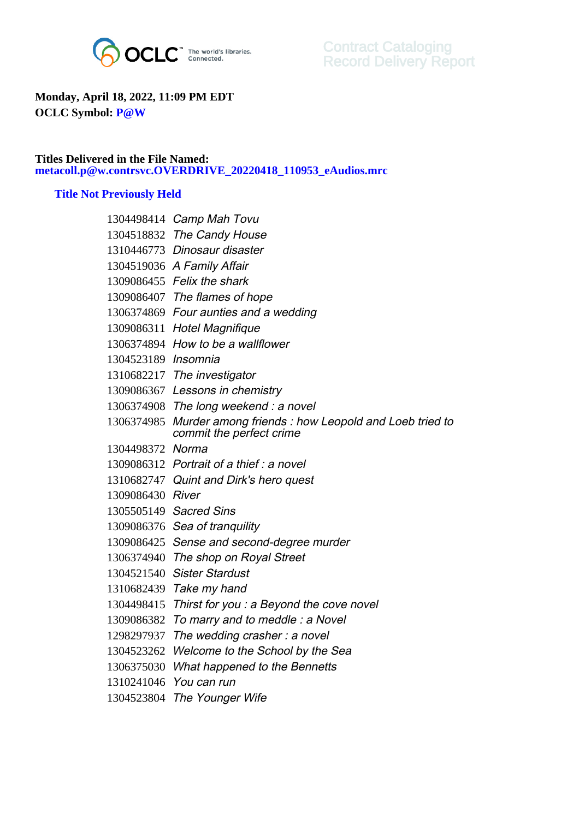

## **Monday, April 18, 2022, 11:09 PM EDT OCLC Symbol: P@W**

## **Titles Delivered in the File Named: metacoll.p@w.contrsvc.OVERDRIVE\_20220418\_110953\_eAudios.mrc**

## **Title Not Previously Held**

|                     | 1304498414 Camp Mah Tovu                                                                   |
|---------------------|--------------------------------------------------------------------------------------------|
|                     | 1304518832 The Candy House                                                                 |
|                     | 1310446773 Dinosaur disaster                                                               |
|                     | 1304519036 A Family Affair                                                                 |
|                     | 1309086455 Felix the shark                                                                 |
|                     | 1309086407 The flames of hope                                                              |
|                     | 1306374869 Four aunties and a wedding                                                      |
|                     | 1309086311 Hotel Magnifique                                                                |
|                     | 1306374894 How to be a wallflower                                                          |
| 1304523189 Insomnia |                                                                                            |
|                     | 1310682217 The investigator                                                                |
|                     | 1309086367 Lessons in chemistry                                                            |
|                     | 1306374908 The long weekend : a novel                                                      |
|                     | 1306374985 Murder among friends: how Leopold and Loeb tried to<br>commit the perfect crime |
| 1304498372 Norma    |                                                                                            |
|                     | 1309086312 Portrait of a thief: a novel                                                    |
|                     | 1310682747 Quint and Dirk's hero quest                                                     |
| 1309086430 River    |                                                                                            |
|                     | 1305505149 Sacred Sins                                                                     |
|                     | 1309086376 Sea of tranquility                                                              |
|                     | 1309086425 Sense and second-degree murder                                                  |
|                     | 1306374940 The shop on Royal Street                                                        |
| 1304521540          | <b>Sister Stardust</b>                                                                     |
|                     | 1310682439 Take my hand                                                                    |
| 1304498415          | Thirst for you : a Beyond the cove novel                                                   |
| 1309086382          | To marry and to meddle: a Novel                                                            |
| 1298297937          | The wedding crasher: a novel                                                               |
| 1304523262          | Welcome to the School by the Sea                                                           |
| 1306375030          | What happened to the Bennetts                                                              |
|                     | 1310241046 You can run                                                                     |
|                     | 1304523804 The Younger Wife                                                                |
|                     |                                                                                            |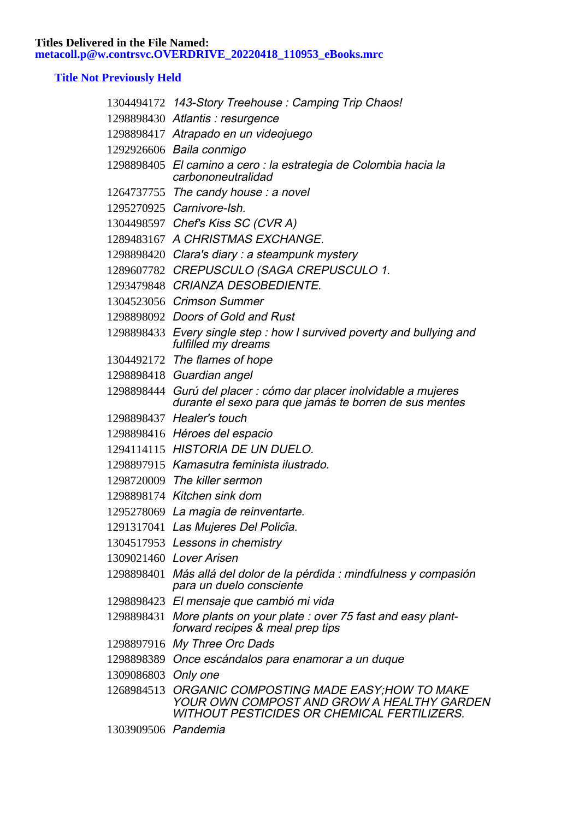**Titles Delivered in the File Named: metacoll.p@w.contrsvc.OVERDRIVE\_20220418\_110953\_eBooks.mrc**

## **Title Not Previously Held**

|                     | 1304494172 143-Story Treehouse: Camping Trip Chaos!                                                                                   |
|---------------------|---------------------------------------------------------------------------------------------------------------------------------------|
|                     | 1298898430 Atlantis: resurgence                                                                                                       |
|                     | 1298898417 Atrapado en un videojuego                                                                                                  |
|                     | 1292926606 Baila conmigo                                                                                                              |
|                     | 1298898405 El camino a cero : la estrategia de Colombia hacia la<br>carbononeutralidad                                                |
|                     | 1264737755 The candy house: a novel                                                                                                   |
|                     | 1295270925 Carnivore-Ish.                                                                                                             |
|                     | 1304498597 Chef's Kiss SC (CVR A)                                                                                                     |
|                     | 1289483167 A CHRISTMAS EXCHANGE.                                                                                                      |
|                     | 1298898420 Clara's diary: a steampunk mystery                                                                                         |
|                     | 1289607782 CREPUSCULO (SAGA CREPUSCULO 1.                                                                                             |
|                     | 1293479848 CRIANZA DESOBEDIENTE.                                                                                                      |
|                     | 1304523056 Crimson Summer                                                                                                             |
|                     | 1298898092 Doors of Gold and Rust                                                                                                     |
|                     | 1298898433 Every single step : how I survived poverty and bullying and<br>fulfilled my dreams                                         |
|                     | 1304492172 The flames of hope                                                                                                         |
|                     | 1298898418 Guardian angel                                                                                                             |
|                     | 1298898444 Gurú del placer : cómo dar placer inolvidable a mujeres<br>durante el sexo para que jamás te borren de sus mentes          |
|                     | 1298898437 Healer's touch                                                                                                             |
|                     | 1298898416 Héroes del espacio                                                                                                         |
|                     | 1294114115 HISTORIA DE UN DUELO.                                                                                                      |
|                     | 1298897915 Kamasutra feminista ilustrado.                                                                                             |
|                     | 1298720009 The killer sermon                                                                                                          |
|                     | 1298898174 Kitchen sink dom                                                                                                           |
|                     | 1295278069 La magia de reinventarte.                                                                                                  |
|                     | 1291317041 Las Mujeres Del Policia.                                                                                                   |
|                     | 1304517953 Lessons in chemistry                                                                                                       |
|                     | 1309021460 Lover Arisen                                                                                                               |
|                     | 1298898401 Más allá del dolor de la pérdida : mindfulness y compasión<br>para un duelo consciente                                     |
|                     | 1298898423 El mensaje que cambió mi vida                                                                                              |
|                     | 1298898431 More plants on your plate: over 75 fast and easy plant-<br>forward recipes & meal prep tips                                |
|                     | 1298897916 My Three Orc Dads                                                                                                          |
|                     | 1298898389 Once escándalos para enamorar a un duque                                                                                   |
| 1309086803 Only one |                                                                                                                                       |
| 1268984513          | ORGANIC COMPOSTING MADE EASY;HOW TO MAKE<br>YOUR OWN COMPOST AND GROW A HEALTHY GARDEN<br>WITHOUT PESTICIDES OR CHEMICAL FERTILIZERS. |
| 1303909506 Pandemia |                                                                                                                                       |